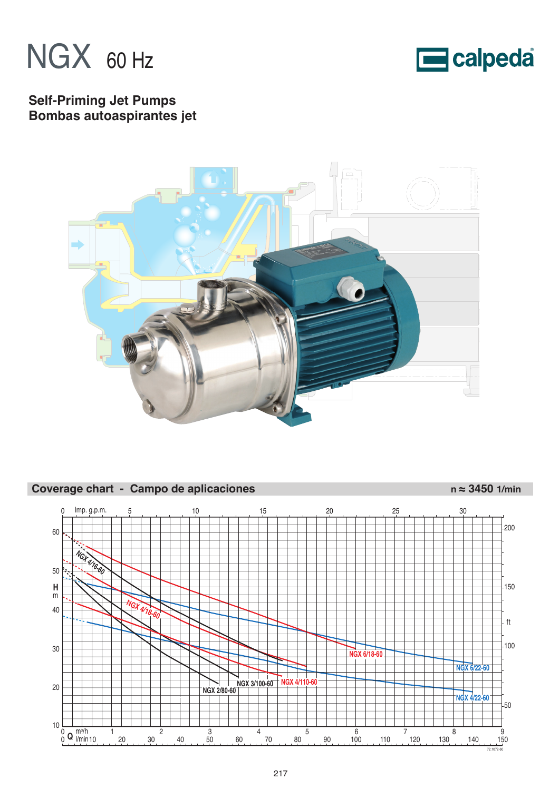



# **Self-Priming Jet Pumps Bombas autoaspirantes jet**



# Coverage chart - Campo de aplicaciones n ≈ 3450 1/min

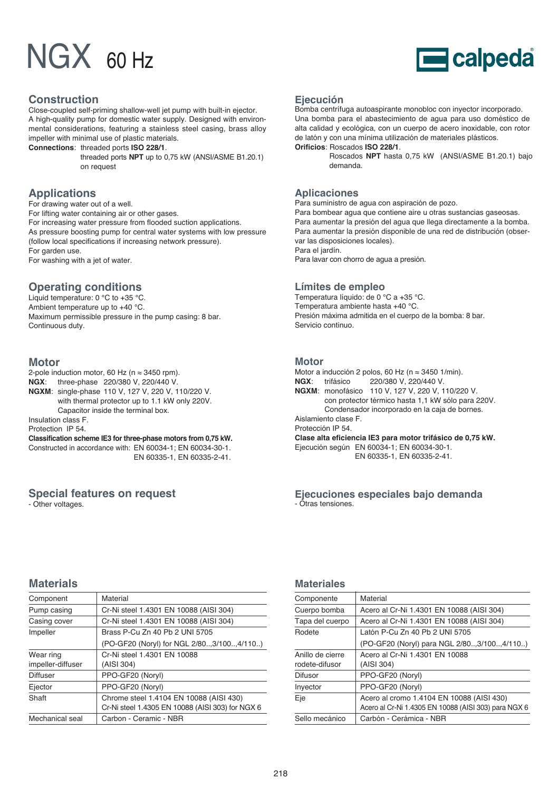

## **Construction**

Close-coupled self-priming shallow-well jet pump with built-in ejector. A high-quality pump for domestic water supply. Designed with environmental considerations, featuring a stainless steel casing, brass alloy impeller with minimal use of plastic materials.

**Connections**: threaded ports **ISO 228/1**.

threaded ports **NPT** up to 0,75 kW (ANSI/ASME B1.20.1) on request

# **Applications**

For drawing water out of a well. For lifting water containing air or other gases. For increasing water pressure from flooded suction applications. As pressure boosting pump for central water systems with low pressure (follow local specifications if increasing network pressure). For garden use.

For washing with a jet of water.

# **Operating conditions**

Liquid temperature: 0 °C to +35 °C. Ambient temperature up to +40 °C. Maximum permissible pressure in the pump casing: 8 bar. Continuous duty.

## **Motor**

2-pole induction motor, 60 Hz ( $n \approx 3450$  rpm). **NGX**: three-phase 220/380 V, 220/440 V. **NGXM**: single-phase 110 V, 127 V, 220 V, 110/220 V. with thermal protector up to 1.1 kW only 220V. Capacitor inside the terminal box. Insulation class F.

Protection IP 54.

**Classification scheme IE3 for three-phase motors from 0,75 kW.** Constructed in accordance with: EN 60034-1; EN 60034-30-1. EN 60335-1, EN 60335-2-41.

## **Special features on request**

- Other voltages.

## **Ejecución**

Bomba centrífuga autoaspirante monobloc con inyector incorporado. Una bomba para el abastecimiento de agua para uso doméstico de alta calidad y ecológica, con un cuerpo de acero inoxidable, con rotor de latón y con una mínima utilización de materiales plásticos. **Orificios**: Roscados **ISO 228/1**.

> Roscados **NPT** hasta 0,75 kW (ANSI/ASME B1.20.1) bajo demanda.

## **Aplicaciones**

Para suministro de agua con aspiración de pozo. Para bombear agua que contiene aire u otras sustancias gaseosas. Para aumentar la presión del agua que llega directamente a la bomba. Para aumentar la presión disponible de una red de distribución (observar las disposiciones locales). Para el jardín.

Para lavar con chorro de agua a presión.

## **Límites de empleo**

Temperatura líquido: de 0 °C a +35 °C. Temperatura ambiente hasta +40 °C. Presión máxima admitida en el cuerpo de la bomba: 8 bar. Servicio continuo.

### **Motor**

Motor a inducción 2 polos, 60 Hz (n ≈ 3450 1/min). **NGX**: trifásico 220/380 V, 220/440 V. **NGXM**: monofásico 110 V, 127 V, 220 V, 110/220 V. con protector térmico hasta 1,1 kW sólo para 220V. Condensador incorporado en la caja de bornes. Aislamiento clase F. Protección IP 54. **Clase alta eficiencia IE3 para motor trifásico de 0,75 kW.** Ejecución según EN 60034-1; EN 60034-30-1. EN 60335-1, EN 60335-2-41.

**Ejecuciones especiales bajo demanda** - Otras tensiones.

# **Materials**

| Material                                                                                    |  |  |  |  |  |  |
|---------------------------------------------------------------------------------------------|--|--|--|--|--|--|
|                                                                                             |  |  |  |  |  |  |
| Cr-Ni steel 1.4301 EN 10088 (AISI 304)                                                      |  |  |  |  |  |  |
| Cr-Ni steel 1.4301 EN 10088 (AISI 304)                                                      |  |  |  |  |  |  |
| Brass P-Cu Zn 40 Pb 2 UNI 5705                                                              |  |  |  |  |  |  |
| (PO-GF20 (Noryl) for NGL 2/80, 3/100, 4/110)                                                |  |  |  |  |  |  |
| Cr-Ni steel 1.4301 EN 10088<br>(AISI 304)                                                   |  |  |  |  |  |  |
| PPO-GF20 (Noryl)                                                                            |  |  |  |  |  |  |
| PPO-GF20 (Noryl)                                                                            |  |  |  |  |  |  |
| Chrome steel 1.4104 EN 10088 (AISI 430)<br>Cr-Ni steel 1.4305 EN 10088 (AISI 303) for NGX 6 |  |  |  |  |  |  |
| Carbon - Ceramic - NBR                                                                      |  |  |  |  |  |  |
|                                                                                             |  |  |  |  |  |  |

## **Materiales**

| Componente                         | Material                                                                                          |
|------------------------------------|---------------------------------------------------------------------------------------------------|
| Cuerpo bomba                       | Acero al Cr-Ni 1.4301 EN 10088 (AISI 304)                                                         |
| Tapa del cuerpo                    | Acero al Cr-Ni 1.4301 EN 10088 (AISI 304)                                                         |
| Rodete                             | Latón P-Cu Zn 40 Ph 2 UNI 5705                                                                    |
|                                    | (PO-GF20 (Noryl) para NGL 2/803/1004/110)                                                         |
| Anillo de cierre<br>rodete-difusor | Acero al Cr-Ni 1.4301 EN 10088<br>(AISI 304)                                                      |
| <b>Difusor</b>                     | PPO-GF20 (Noryl)                                                                                  |
| Inyector                           | PPO-GF20 (Noryl)                                                                                  |
| Eje                                | Acero al cromo 1.4104 EN 10088 (AISI 430)<br>Acero al Cr-Ni 1.4305 EN 10088 (AISI 303) para NGX 6 |
| Sello mecánico                     | Carbón - Cerámica - NBR                                                                           |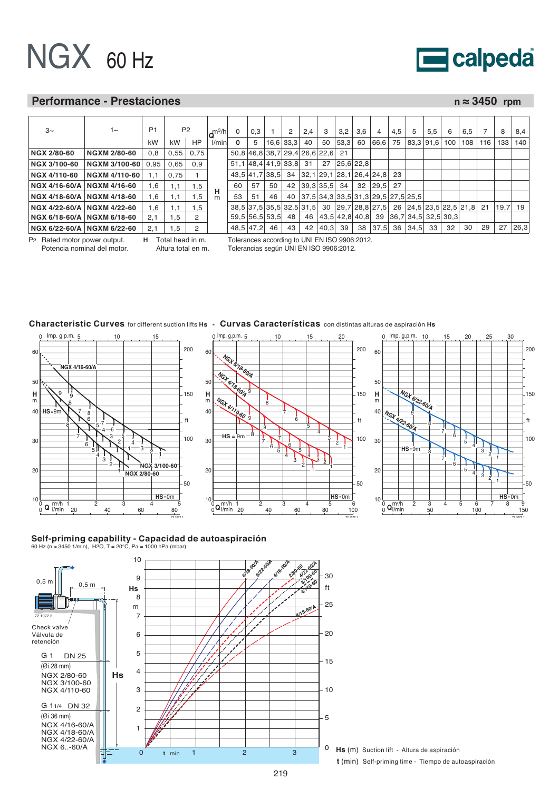

## **Performance - Prestaciones n ≈ 3450 rpm**

72.1072.1

50

100

ft

150

 $200$ 

50 100 150

 $^{4}$  - 3

4

5

6

7

8

8

7

6

5

1

2

 $\frac{3}{2}$ 

1

| $3\sim$                      | $1\sim$              | P <sub>1</sub> | P <sub>2</sub> |           | $m^3/h$ | 0  | 0.3 |                                  | 2           | 2,4             | 3               | 3,2            | 3.6 | 4                                                                    | 4.5 | 5 | 5,5       | 6   | 6.5 |     | 8       | 8,4  |
|------------------------------|----------------------|----------------|----------------|-----------|---------|----|-----|----------------------------------|-------------|-----------------|-----------------|----------------|-----|----------------------------------------------------------------------|-----|---|-----------|-----|-----|-----|---------|------|
|                              |                      | kW             | kW             | <b>HP</b> | l/min   |    | 5   |                                  | $16,6$ 33,3 | 40              | 50              | 53,3           | 60  | 66,6 75                                                              |     |   | 83.3 91.6 | 100 | 108 | 116 | 133     | 140  |
| NGX 2/80-60                  | <b>NGXM 2/80-60</b>  | 0.8            | 0.55           | 0,75      |         |    |     | 50.8 46.8 38.7 29.4 26.6 22.6 21 |             |                 |                 |                |     |                                                                      |     |   |           |     |     |     |         |      |
| NGX 3/100-60                 | NGXM 3/100-60 0.95   |                | 0.65           | 0,9       |         |    |     | 51, 1 48, 4 41, 9 33, 8 31       |             |                 |                 | $27$ 25,6 22,8 |     |                                                                      |     |   |           |     |     |     |         |      |
| NGX 4/110-60                 | <b>NGXM 4/110-60</b> | 1.1            | 0.75           |           |         |    |     |                                  |             |                 |                 |                |     | 43.5 41.7 38.5 34 32.1 29.1 28.1 26.4 24.8 23                        |     |   |           |     |     |     |         |      |
| NGX 4/16-60/A   NGXM 4/16-60 |                      | 1,6            | 1,1            | 1,5       |         | 60 | 57  | 50                               |             |                 | 42 39.3 35.5 34 |                |     | 32 29.5 27                                                           |     |   |           |     |     |     |         |      |
| NGX 4/18-60/A NGXM 4/18-60   |                      | 1.6            | 1.1            | . . 5     | н<br>m  | 53 | 51  | 46                               |             |                 |                 |                |     | 40 37,5 34,3 33,5 31,3 29,5 27,5 25,5                                |     |   |           |     |     |     |         |      |
| NGX 4/22-60/A   NGXM 4/22-60 |                      | 1.6            | 1.1            | 1,5       |         |    |     |                                  |             |                 |                 |                |     | 38,5 37,5 35,5 32,5 31,5 30 29,7 28,8 27,5 26 24,5 23,5 22,5 21,8 21 |     |   |           |     |     |     | 19.7 19 |      |
| NGX 6/18-60/A   NGXM 6/18-60 |                      | 2.1            | 1,5            | 2         |         |    |     | $59.5$ 56.5 53.5                 | 48          |                 |                 |                |     | 46 43.5 42.8 40.8 39 36.7 34.5 32.5 30.3                             |     |   |           |     |     |     |         |      |
| NGX 6/22-60/A   NGXM 6/22-60 |                      | 2.1            | 1.5            | 2         |         |    |     | 48,5 47,2 46                     | 43          | 42 <sup>1</sup> | 40.3 39         |                |     | 38 37.5 36 34.5 33                                                   |     |   |           | 32  | 30  | 29  | 27      | 26,3 |

0 Imp. g.p.m. 5 10 15 20

P2 Rated motor power output. Potencia nominal del motor. **H** Total head in m. Altura total en m. Tolerances according to UNI EN ISO 9906:2012. Tolerancias según UNI EN ISO 9906:2012.

## **Characteristic Curves** for different suction lifts **Hs - Curvas Características** con distintas alturas de aspiración **Hs**





 $Imp. g.p.m. 10$ 

# **Self-priming capability - Capacidad de autoaspiración**<br>60 Hz (n≈ 3450 1/min), H2O, T = 20°C, Pa = 1000 hPa (mbar)

72.1072.1



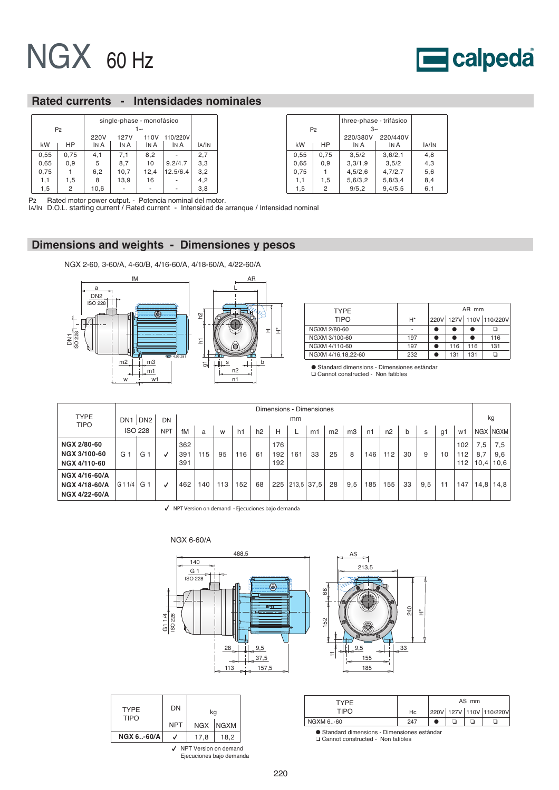

# **Rated currents - Intensidades nominales**

|      |                |      | single-phase - monofásico |         |          |       |  |  |  |  |  |
|------|----------------|------|---------------------------|---------|----------|-------|--|--|--|--|--|
|      | P <sub>2</sub> |      |                           | $1\sim$ |          |       |  |  |  |  |  |
|      |                | 220V | 110/220V<br>127V<br>110V  |         |          |       |  |  |  |  |  |
| kW   | НP             | IN A | IN A                      | IN A    | IN A     | IA/IN |  |  |  |  |  |
| 0,55 | 0,75           | 4,1  | 7,1                       | 8,2     |          | 2,7   |  |  |  |  |  |
| 0,65 | 0,9            | 5    | 8,7                       | 10      | 9.2/4.7  | 3,3   |  |  |  |  |  |
| 0,75 |                | 6,2  | 10,7                      | 12,4    | 12.5/6.4 | 3,2   |  |  |  |  |  |
| 1,1  | 1,5            | 8    | 13,9                      | 16      |          | 4,2   |  |  |  |  |  |
| 1,5  | 2              | 10,6 |                           |         |          | 3,8   |  |  |  |  |  |

|      | P <sub>2</sub> | three-phase - trifásico<br>$3\sim$<br>220/380V | 220/440V |       |
|------|----------------|------------------------------------------------|----------|-------|
| kW   | НP             | IN A                                           | In A     | IA/IN |
| 0,55 | 0,75           | 3.5/2                                          | 3,6/2,1  | 4,8   |
| 0,65 | 0,9            | 3,3/1,9                                        | 3.5/2    | 4,3   |
| 0,75 |                | 4,5/2,6                                        | 4,7/2,7  | 5,6   |
| 1,1  | 1,5            | 5,6/3,2                                        | 5,8/3,4  | 8,4   |
| 1,5  | 2              | 9/5, 2                                         | 9,4/5,5  | 6,1   |

P2 Rated motor power output. - Potencia nominal del motor. IA/IN D.O.L. starting current / Rated current - Intensidad de arranque / Intensidad nominal

# **Dimensions and weights - Dimensiones y pesos**

NGX 2-60, 3-60/A, 4-60/B, 4/16-60/A, 4/18-60/A, 4/22-60/A



| <b>TYPF</b>        |       | AR mm                   |     |     |     |  |  |  |
|--------------------|-------|-------------------------|-----|-----|-----|--|--|--|
| <b>TIPO</b>        | $H^*$ | 220V 127V 110V 110/220V |     |     |     |  |  |  |
| NGXM 2/80-60       |       |                         |     |     |     |  |  |  |
| NGXM 3/100-60      | 197   |                         |     |     | 116 |  |  |  |
| NGXM 4/110-60      | 197   |                         | 116 | 116 | 131 |  |  |  |
| NGXM 4/16,18,22-60 | 232   |                         | 131 | 131 |     |  |  |  |

● Standard dimensions - Dimensiones estándar ❏ Cannot constructed - Non fatibles

|                                                                  | Dimensions - Dimensiones |                 |            |                   |     |     |     |    |                   |              |    |    |                |     |     |             |     |    |                   |                    |                    |
|------------------------------------------------------------------|--------------------------|-----------------|------------|-------------------|-----|-----|-----|----|-------------------|--------------|----|----|----------------|-----|-----|-------------|-----|----|-------------------|--------------------|--------------------|
| <b>TYPE</b><br><b>TIPO</b>                                       | DN <sub>1</sub>          | DN <sub>2</sub> | DN         |                   |     |     |     |    |                   | mm           |    |    |                |     |     |             |     |    |                   |                    | kg                 |
|                                                                  |                          | <b>ISO 228</b>  | <b>NPT</b> | fM                | a   | W   | h1  | h2 | н                 |              | m1 | m2 | m <sub>3</sub> | n1  | n2  | $\mathbf b$ | s   | g1 | w1                |                    | NGX NGXM           |
| <b>NGX 2/80-60</b><br><b>NGX 3/100-60</b><br><b>NGX 4/110-60</b> | G                        | G.              |            | 362<br>391<br>391 | 115 | 95  | 116 | 61 | 176<br>192<br>192 | 161          | 33 | 25 | 8              | 146 | 112 | 30          | 9   | 10 | 102<br>112<br>112 | 7,5<br>8,7<br>10.4 | 7.5<br>9,6<br>10,6 |
| NGX 4/16-60/A<br>NGX 4/18-60/A<br>NGX 4/22-60/A                  | G11/4                    | G               |            | 462               | 40  | 113 | 152 | 68 | 225               | $213.5$ 37.5 |    | 28 | 9,5            | 185 | 155 | 33          | 9,5 | 11 | 147               | 14,8               | 14,8               |

NPT Version on demand - Ejecuciones bajo demanda



| <b>TYPE</b><br><b>TIPO</b> | DN         |                                                   | kq       |  |  |  |  |  |  |  |  |
|----------------------------|------------|---------------------------------------------------|----------|--|--|--|--|--|--|--|--|
|                            | <b>NPT</b> |                                                   | NGX NGXM |  |  |  |  |  |  |  |  |
| <b>NGX 6-60/A</b>          |            | 17,8                                              | 18,2     |  |  |  |  |  |  |  |  |
|                            |            | NPT Version on demand<br>Ejecuciones bajo demanda |          |  |  |  |  |  |  |  |  |

| TYPF      |     |                               |  | AS mm |  |  |
|-----------|-----|-------------------------------|--|-------|--|--|
| TIPO      | Hc  | 220V   127V   110V   110/220V |  |       |  |  |
| NGXM 6-60 | 247 |                               |  |       |  |  |

● Standard dimensions - Dimensiones estándar<br>□ Cannot constructed - Non fatibles